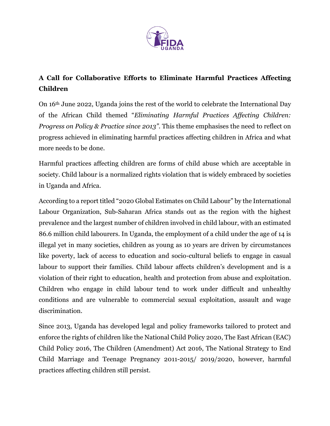

## **A Call for Collaborative Efforts to Eliminate Harmful Practices Affecting Children**

On 16th June 2022, Uganda joins the rest of the world to celebrate the International Day of the African Child themed "*Eliminating Harmful Practices Affecting Children: Progress on Policy & Practice since 2013"*. This theme emphasises the need to reflect on progress achieved in eliminating harmful practices affecting children in Africa and what more needs to be done.

Harmful practices affecting children are forms of child abuse which are acceptable in society. Child labour is a normalized rights violation that is widely embraced by societies in Uganda and Africa.

According to a report titled "2020 Global Estimates on Child Labour" by the International Labour Organization, Sub-Saharan Africa stands out as the region with the highest prevalence and the largest number of children involved in child labour, with an estimated 86.6 million child labourers. In Uganda, the employment of a child under the age of 14 is illegal yet in many societies, children as young as 10 years are driven by circumstances like poverty, lack of access to education and socio-cultural beliefs to engage in casual labour to support their families. Child labour affects children's development and is a violation of their right to education, health and protection from abuse and exploitation. Children who engage in child labour tend to work under difficult and unhealthy conditions and are vulnerable to commercial sexual exploitation, assault and wage discrimination.

Since 2013, Uganda has developed legal and policy frameworks tailored to protect and enforce the rights of children like the National Child Policy 2020, The East African (EAC) Child Policy 2016, The Children (Amendment) Act 2016, The National Strategy to End Child Marriage and Teenage Pregnancy 2011-2015/ 2019/2020, however, harmful practices affecting children still persist.